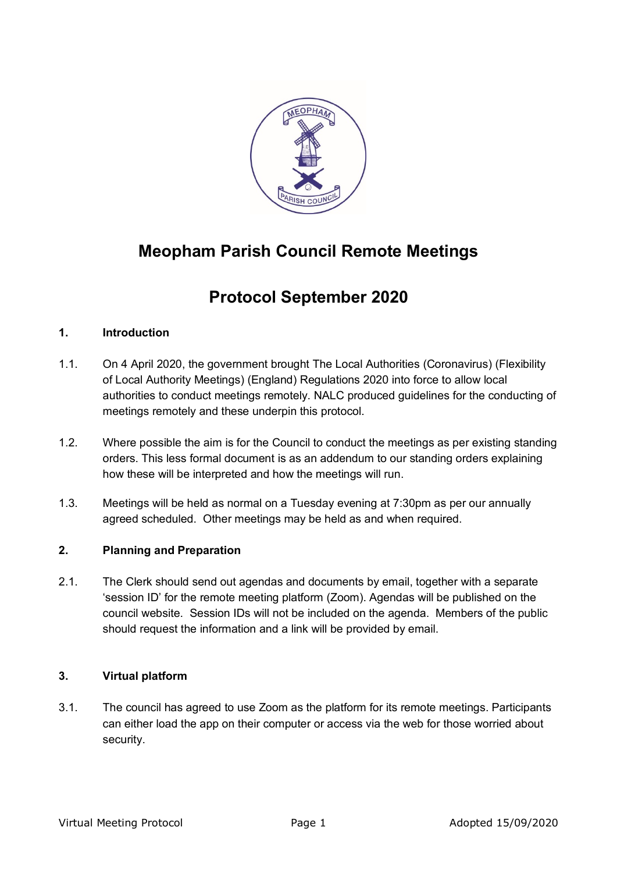

# **Meopham Parish Council Remote Meetings**

# **Protocol September 2020**

# **1. Introduction**

- 1.1. On 4 April 2020, the government brought The Local Authorities (Coronavirus) (Flexibility of Local Authority Meetings) (England) Regulations 2020 into force to allow local authorities to conduct meetings remotely. NALC produced guidelines for the conducting of meetings remotely and these underpin this protocol.
- 1.2. Where possible the aim is for the Council to conduct the meetings as per existing standing orders. This less formal document is as an addendum to our standing orders explaining how these will be interpreted and how the meetings will run.
- 1.3. Meetings will be held as normal on a Tuesday evening at 7:30pm as per our annually agreed scheduled. Other meetings may be held as and when required.

# **2. Planning and Preparation**

2.1. The Clerk should send out agendas and documents by email, together with a separate 'session ID' for the remote meeting platform (Zoom). Agendas will be published on the council website. Session IDs will not be included on the agenda. Members of the public should request the information and a link will be provided by email.

# **3. Virtual platform**

3.1. The council has agreed to use Zoom as the platform for its remote meetings. Participants can either load the app on their computer or access via the web for those worried about security.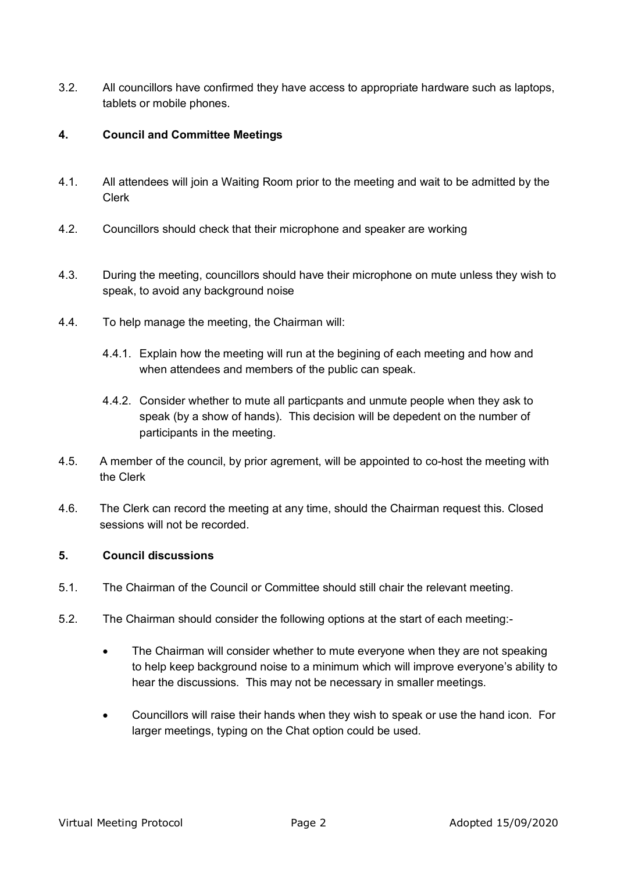3.2. All councillors have confirmed they have access to appropriate hardware such as laptops, tablets or mobile phones.

### **4. Council and Committee Meetings**

- 4.1. All attendees will join a Waiting Room prior to the meeting and wait to be admitted by the Clerk
- 4.2. Councillors should check that their microphone and speaker are working
- 4.3. During the meeting, councillors should have their microphone on mute unless they wish to speak, to avoid any background noise
- 4.4. To help manage the meeting, the Chairman will:
	- 4.4.1. Explain how the meeting will run at the begining of each meeting and how and when attendees and members of the public can speak.
	- 4.4.2. Consider whether to mute all particpants and unmute people when they ask to speak (by a show of hands). This decision will be depedent on the number of participants in the meeting.
- 4.5. A member of the council, by prior agrement, will be appointed to co-host the meeting with the Clerk
- 4.6. The Clerk can record the meeting at any time, should the Chairman request this. Closed sessions will not be recorded.

### **5. Council discussions**

- 5.1. The Chairman of the Council or Committee should still chair the relevant meeting.
- 5.2. The Chairman should consider the following options at the start of each meeting:-
	- The Chairman will consider whether to mute everyone when they are not speaking to help keep background noise to a minimum which will improve everyone's ability to hear the discussions. This may not be necessary in smaller meetings.
	- Councillors will raise their hands when they wish to speak or use the hand icon. For larger meetings, typing on the Chat option could be used.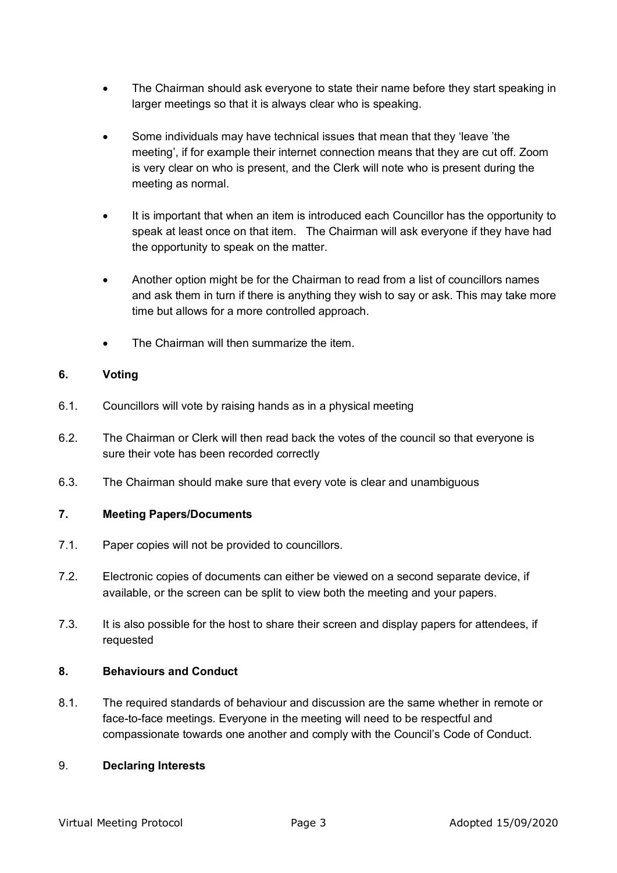- The Chairman should ask everyone to state their name before they start speaking in larger meetings so that it is always clear who is speaking.
- Some individuals may have technical issues that mean that they 'leave 'the meeting', if for example their internet connection means that they are cut off. Zoom is very clear on who is present, and the Clerk will note who is present during the meeting as normal.
- It is important that when an item is introduced each Councillor has the opportunity to speak at least once on that item. The Chairman will ask everyone if they have had the opportunity to speak on the matter.
- Another option might be for the Chairman to read from a list of councillors names and ask them in turn if there is anything they wish to say or ask. This may take more time but allows for a more controlled approach.
- The Chairman will then summarize the item.

# **6. Voting**

- 6.1. Councillors will vote by raising hands as in a physical meeting
- 6.2. The Chairman or Clerk will then read back the votes of the council so that everyone is sure their vote has been recorded correctly
- 6.3. The Chairman should make sure that every vote is clear and unambiguous

# **7. Meeting Papers/Documents**

- 7.1. Paper copies will not be provided to councillors.
- 7.2. Electronic copies of documents can either be viewed on a second separate device, if available, or the screen can be split to view both the meeting and your papers.
- 7.3. It is also possible for the host to share their screen and display papers for attendees, if requested

# **8. Behaviours and Conduct**

8.1. The required standards of behaviour and discussion are the same whether in remote or face-to-face meetings. Everyone in the meeting will need to be respectful and compassionate towards one another and comply with the Council's Code of Conduct.

#### 9. **Declaring Interests**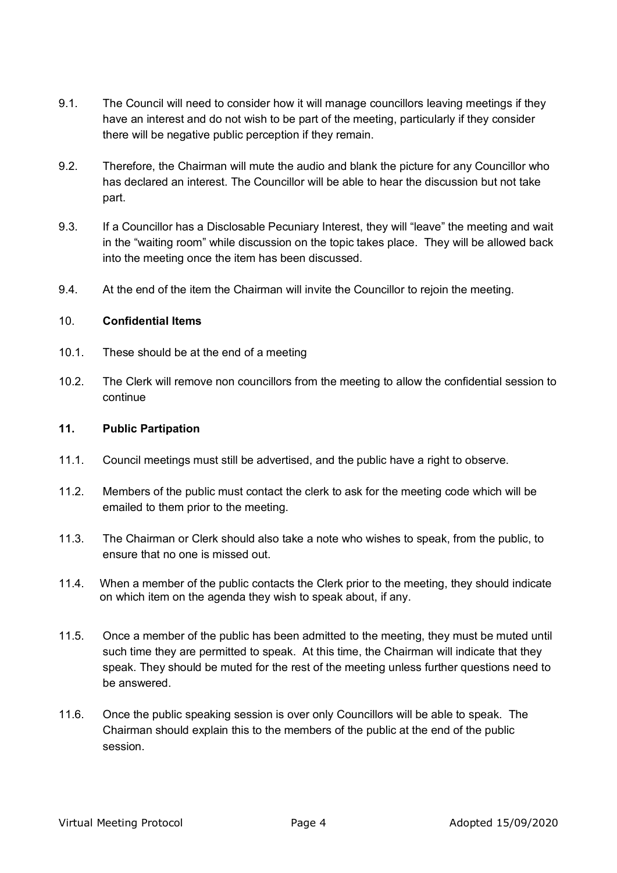- 9.1. The Council will need to consider how it will manage councillors leaving meetings if they have an interest and do not wish to be part of the meeting, particularly if they consider there will be negative public perception if they remain.
- 9.2. Therefore, the Chairman will mute the audio and blank the picture for any Councillor who has declared an interest. The Councillor will be able to hear the discussion but not take part.
- 9.3. If a Councillor has a Disclosable Pecuniary Interest, they will "leave" the meeting and wait in the "waiting room" while discussion on the topic takes place. They will be allowed back into the meeting once the item has been discussed.
- 9.4. At the end of the item the Chairman will invite the Councillor to rejoin the meeting.

## 10. **Confidential Items**

- 10.1. These should be at the end of a meeting
- 10.2. The Clerk will remove non councillors from the meeting to allow the confidential session to continue

#### **11. Public Partipation**

- 11.1. Council meetings must still be advertised, and the public have a right to observe.
- 11.2. Members of the public must contact the clerk to ask for the meeting code which will be emailed to them prior to the meeting.
- 11.3. The Chairman or Clerk should also take a note who wishes to speak, from the public, to ensure that no one is missed out.
- 11.4. When a member of the public contacts the Clerk prior to the meeting, they should indicate on which item on the agenda they wish to speak about, if any.
- 11.5. Once a member of the public has been admitted to the meeting, they must be muted until such time they are permitted to speak. At this time, the Chairman will indicate that they speak. They should be muted for the rest of the meeting unless further questions need to be answered.
- 11.6. Once the public speaking session is over only Councillors will be able to speak. The Chairman should explain this to the members of the public at the end of the public session.